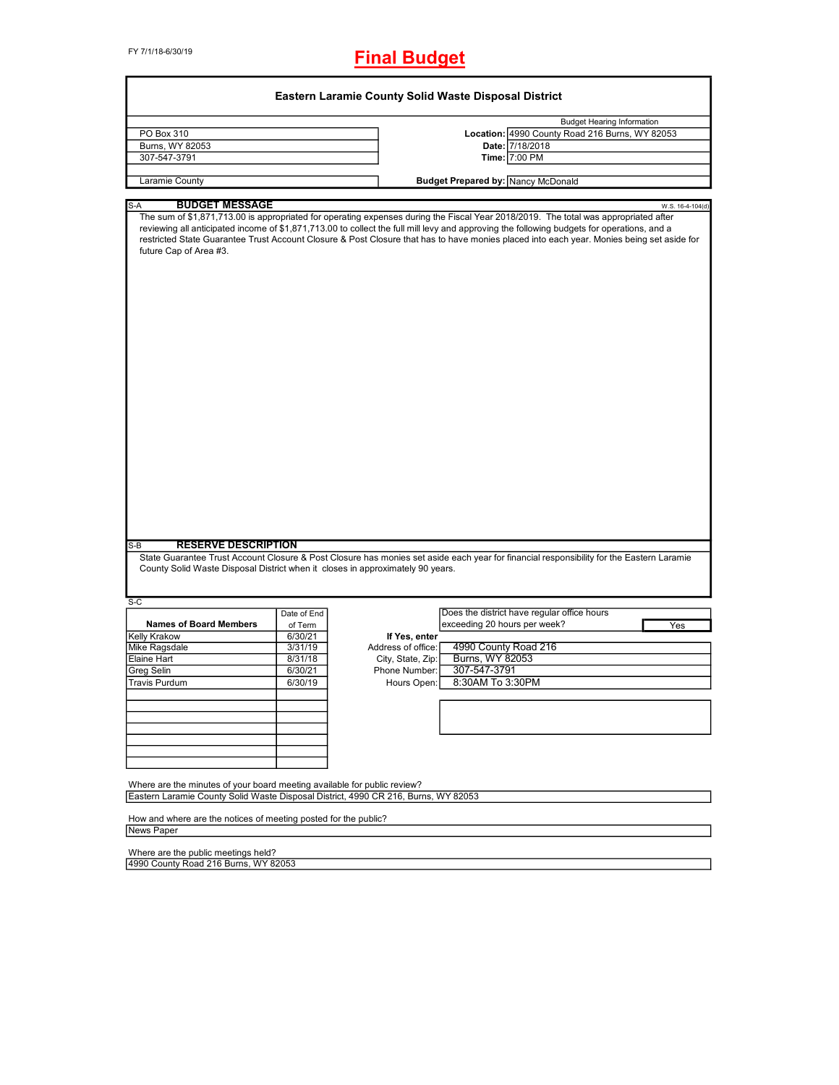FY 7/1/18-6/30/19

# **Final Budget**

| PO Box 310                                                                                                                                                     |                        |                    | <b>Budget Hearing Information</b>                                                                                                                                                                                                                                                       |
|----------------------------------------------------------------------------------------------------------------------------------------------------------------|------------------------|--------------------|-----------------------------------------------------------------------------------------------------------------------------------------------------------------------------------------------------------------------------------------------------------------------------------------|
|                                                                                                                                                                |                        |                    | Location: 4990 County Road 216 Burns, WY 82053                                                                                                                                                                                                                                          |
| Burns, WY 82053                                                                                                                                                |                        |                    | Date: 7/18/2018<br>Time: 7:00 PM                                                                                                                                                                                                                                                        |
| 307-547-3791                                                                                                                                                   |                        |                    |                                                                                                                                                                                                                                                                                         |
| Laramie County                                                                                                                                                 |                        |                    | <b>Budget Prepared by: Nancy McDonald</b>                                                                                                                                                                                                                                               |
| <b>BUDGET MESSAGE</b><br>S-A                                                                                                                                   |                        |                    | W.S. 16-4-104(d)                                                                                                                                                                                                                                                                        |
| future Cap of Area #3.                                                                                                                                         |                        |                    | reviewing all anticipated income of \$1,871,713.00 to collect the full mill levy and approving the following budgets for operations, and a<br>restricted State Guarantee Trust Account Closure & Post Closure that has to have monies placed into each year. Monies being set aside for |
| <b>RESERVE DESCRIPTION</b><br>County Solid Waste Disposal District when it closes in approximately 90 years.                                                   |                        |                    | State Guarantee Trust Account Closure & Post Closure has monies set aside each year for financial responsibility for the Eastern Laramie                                                                                                                                                |
| $S-B$                                                                                                                                                          |                        |                    |                                                                                                                                                                                                                                                                                         |
| $S-C$                                                                                                                                                          |                        |                    | Does the district have regular office hours                                                                                                                                                                                                                                             |
| <b>Names of Board Members</b>                                                                                                                                  | Date of End<br>of Term |                    | exceeding 20 hours per week?<br>Yes                                                                                                                                                                                                                                                     |
|                                                                                                                                                                | 6/30/21                | If Yes, enter      |                                                                                                                                                                                                                                                                                         |
|                                                                                                                                                                | 3/31/19                | Address of office: | 4990 County Road 216                                                                                                                                                                                                                                                                    |
|                                                                                                                                                                | 8/31/18                |                    |                                                                                                                                                                                                                                                                                         |
| Kelly Krakow<br>Mike Ragsdale<br><b>Elaine Hart</b>                                                                                                            |                        | City, State, Zip:  | Burns, WY 82053                                                                                                                                                                                                                                                                         |
|                                                                                                                                                                | 6/30/21                | Phone Number:      | 307-547-3791                                                                                                                                                                                                                                                                            |
|                                                                                                                                                                | 6/30/19                | Hours Open:        | 8:30AM To 3:30PM                                                                                                                                                                                                                                                                        |
|                                                                                                                                                                |                        |                    |                                                                                                                                                                                                                                                                                         |
|                                                                                                                                                                |                        |                    |                                                                                                                                                                                                                                                                                         |
| Greg Selin<br>Travis Purdum                                                                                                                                    |                        |                    |                                                                                                                                                                                                                                                                                         |
|                                                                                                                                                                |                        |                    |                                                                                                                                                                                                                                                                                         |
| Where are the minutes of your board meeting available for public review?<br>Eastern Laramie County Solid Waste Disposal District, 4990 CR 216, Burns, WY 82053 |                        |                    |                                                                                                                                                                                                                                                                                         |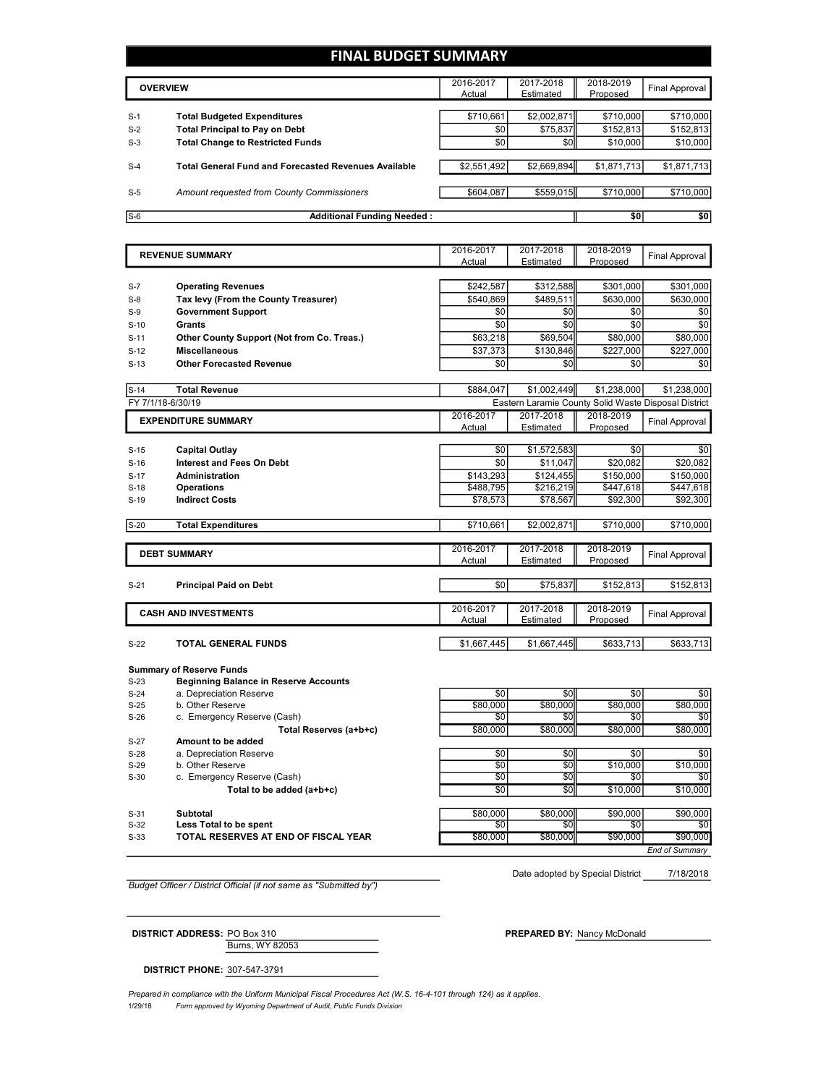## **FINAL BUDGET SUMMARY**

|       | <b>OVERVIEW</b>                                                             | 2016-2017<br>Actual | 2017-2018<br>Estimated | 2018-2019<br>Proposed | <b>Final Approval</b> |
|-------|-----------------------------------------------------------------------------|---------------------|------------------------|-----------------------|-----------------------|
| $S-1$ |                                                                             | \$710,661           | \$2,002,871            | \$710,000             | \$710,000             |
| $S-2$ | <b>Total Budgeted Expenditures</b><br><b>Total Principal to Pay on Debt</b> | \$0                 | \$75,837               | \$152,813             | \$152,813             |
| $S-3$ | <b>Total Change to Restricted Funds</b>                                     | \$0                 | \$0                    | \$10,000              | \$10,000              |
| $S-4$ | <b>Total General Fund and Forecasted Revenues Available</b>                 | \$2,551,492         | \$2,669,894            | \$1,871,713           | \$1,871,713           |
| $S-5$ | Amount requested from County Commissioners                                  | \$604,087           | \$559,015              | \$710,000             | \$710,000             |
| $S-6$ | <b>Additional Funding Needed:</b>                                           |                     |                        | \$0                   | \$0                   |

|        |                                            | 2016-2017   | 2017-2018                                            | 2018-2019   |                       |
|--------|--------------------------------------------|-------------|------------------------------------------------------|-------------|-----------------------|
|        | <b>REVENUE SUMMARY</b>                     | Actual      | Estimated                                            | Proposed    | <b>Final Approval</b> |
|        |                                            |             |                                                      |             |                       |
| $S-7$  | <b>Operating Revenues</b>                  | \$242,587   | \$312,588                                            | \$301,000   | \$301,000             |
| $S-8$  | Tax levy (From the County Treasurer)       | \$540,869   | \$489.511                                            | \$630,000   | \$630,000             |
| $S-9$  | <b>Government Support</b>                  | \$0         | \$0                                                  | \$0         | \$0                   |
| $S-10$ | Grants                                     | \$0         | \$0                                                  | \$0         | \$0                   |
| $S-11$ | Other County Support (Not from Co. Treas.) | \$63,218    | \$69,504                                             | \$80,000    | \$80,000              |
| $S-12$ | <b>Miscellaneous</b>                       | \$37,373    | \$130,846                                            | \$227,000   | \$227,000             |
| $S-13$ | <b>Other Forecasted Revenue</b>            | \$0         | \$0                                                  | \$0         | \$0                   |
|        |                                            |             |                                                      |             |                       |
| $S-14$ | <b>Total Revenue</b>                       | \$884,047   | \$1,002,449                                          | \$1,238,000 | \$1,238,000           |
|        | FY 7/1/18-6/30/19                          |             | Eastern Laramie County Solid Waste Disposal District |             |                       |
|        | <b>EXPENDITURE SUMMARY</b>                 | 2016-2017   | 2017-2018                                            | 2018-2019   | Final Approval        |
|        |                                            | Actual      | Estimated                                            | Proposed    |                       |
| $S-15$ | <b>Capital Outlay</b>                      | \$0         | \$1,572,583                                          | \$0         | \$0                   |
| $S-16$ | <b>Interest and Fees On Debt</b>           | \$0         | \$11,047                                             | \$20,082    | \$20,082              |
| $S-17$ | Administration                             | \$143,293   | \$124,455                                            | \$150,000   | \$150,000             |
| $S-18$ | <b>Operations</b>                          | \$488,795   | \$216,219                                            | \$447,618   | \$447,618             |
| $S-19$ | <b>Indirect Costs</b>                      | \$78,573    | \$78,567                                             | \$92,300    | \$92,300              |
|        |                                            |             |                                                      |             |                       |
| $S-20$ | <b>Total Expenditures</b>                  | \$710,661   | \$2,002,871                                          | \$710,000   | \$710,000             |
|        |                                            |             |                                                      |             |                       |
|        | <b>DEBT SUMMARY</b>                        | 2016-2017   | 2017-2018                                            | 2018-2019   | <b>Final Approval</b> |
|        |                                            | Actual      | Estimated                                            | Proposed    |                       |
| $S-21$ | <b>Principal Paid on Debt</b>              | \$0         | \$75,837                                             | \$152,813   | \$152,813             |
|        |                                            |             |                                                      |             |                       |
|        | <b>CASH AND INVESTMENTS</b>                | 2016-2017   | 2017-2018                                            | 2018-2019   | Final Approval        |
|        |                                            | Actual      | Estimated                                            | Proposed    |                       |
|        |                                            |             |                                                      |             |                       |
| $S-22$ | <b>TOTAL GENERAL FUNDS</b>                 | \$1,667,445 | \$1,667,445                                          | \$633,713   | \$633,713             |
|        |                                            |             |                                                      |             |                       |
|        | <b>Summary of Reserve Funds</b>            |             |                                                      |             |                       |

| $S-23$ | <b>Beginning Balance in Reserve Accounts</b> |          |          |          |                       |
|--------|----------------------------------------------|----------|----------|----------|-----------------------|
| $S-24$ | a. Depreciation Reserve                      | \$0      | \$0      | \$0      | \$0                   |
| $S-25$ | b. Other Reserve                             | \$80,000 | \$80,000 | \$80,000 | \$80,000              |
| $S-26$ | c. Emergency Reserve (Cash)                  | \$0      | \$0      | \$0      | \$0                   |
|        | Total Reserves (a+b+c)                       | \$80,000 | \$80,000 | \$80,000 | \$80,000              |
| $S-27$ | Amount to be added                           |          |          |          |                       |
| $S-28$ | a. Depreciation Reserve                      | \$0      | \$0      | \$0      | \$0                   |
| $S-29$ | b. Other Reserve                             | \$0      | \$0      | \$10,000 | \$10,000              |
| $S-30$ | c. Emergency Reserve (Cash)                  | \$0      | \$0      | \$0      | \$0                   |
|        | Total to be added (a+b+c)                    | \$0      | SO       | \$10,000 | \$10,000              |
|        |                                              |          |          |          |                       |
| $S-31$ | Subtotal                                     | \$80,000 | \$80,000 | \$90,000 | \$90,000              |
| $S-32$ | Less Total to be spent                       | \$0      | 80       | \$0      | \$0                   |
| $S-33$ | TOTAL RESERVES AT END OF FISCAL YEAR         | \$80,000 | \$80,000 | \$90,000 | \$90,000              |
|        |                                              |          |          |          | <b>End of Summary</b> |

Date adopted by Special District 7/18/2018

*Budget Officer / District Official (if not same as "Submitted by")*

Burns, WY 82053 **DISTRICT ADDRESS:** PO Box 310 **PREPARED BY:** Nancy McDonald

**DISTRICT PHONE:** 307-547-3791

1/29/18 *Form approved by Wyoming Department of Audit, Public Funds Division Prepared in compliance with the Uniform Municipal Fiscal Procedures Act (W.S. 16-4-101 through 124) as it applies.*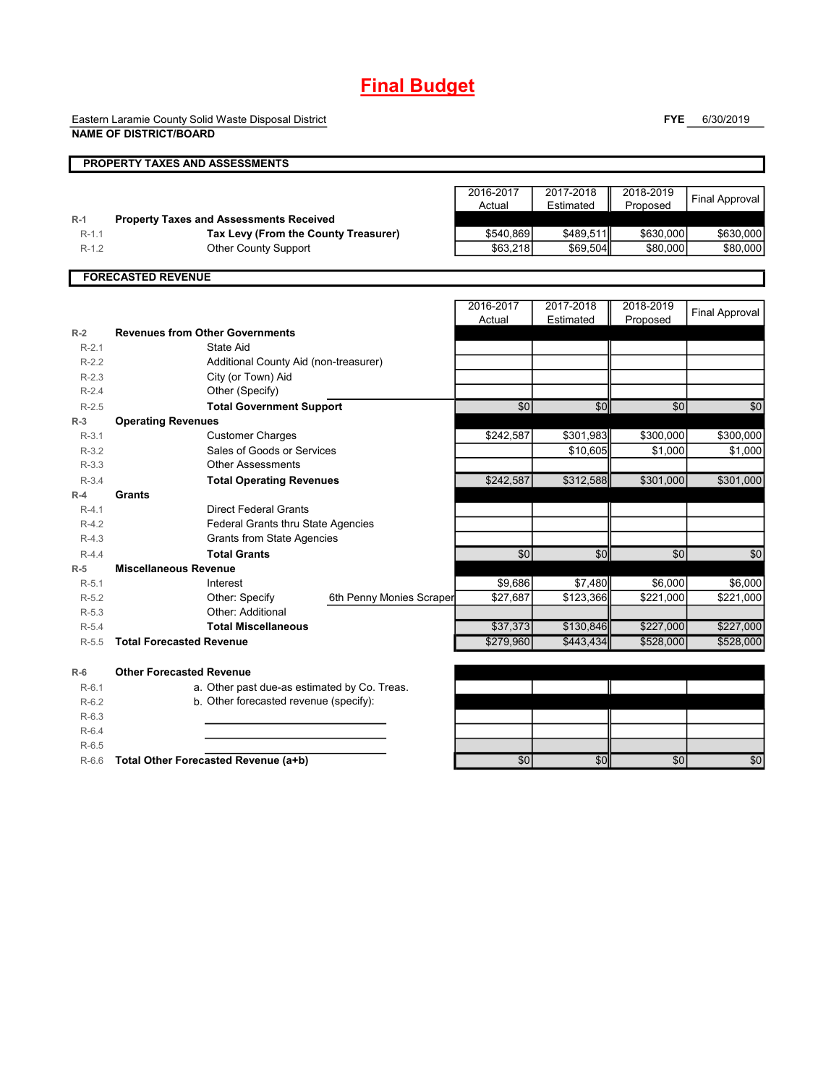# **Final Budget**

Eastern Laramie County Solid Waste Disposal District **NAME OF DISTRICT/BOARD**

**FYE** 6/30/2019

|         | <b>PROPERTY TAXES AND ASSESSMENTS</b>          |                          |                 |           |            |                       |
|---------|------------------------------------------------|--------------------------|-----------------|-----------|------------|-----------------------|
|         |                                                |                          |                 |           |            |                       |
|         |                                                |                          | 2016-2017       | 2017-2018 | 2018-2019  | <b>Final Approval</b> |
|         |                                                |                          | Actual          | Estimated | Proposed   |                       |
| $R-1$   | <b>Property Taxes and Assessments Received</b> |                          |                 |           |            |                       |
| $R-1.1$ | Tax Levy (From the County Treasurer)           |                          | \$540,869       | \$489,511 | \$630,000  | \$630,000             |
| $R-1.2$ | <b>Other County Support</b>                    |                          | \$63,218        | \$69,504  | \$80,000   | \$80,000              |
|         | <b>FORECASTED REVENUE</b>                      |                          |                 |           |            |                       |
|         |                                                |                          |                 |           |            |                       |
|         |                                                |                          | 2016-2017       | 2017-2018 | 2018-2019  | <b>Final Approval</b> |
|         |                                                |                          | Actual          | Estimated | Proposed   |                       |
| $R-2$   | <b>Revenues from Other Governments</b>         |                          |                 |           |            |                       |
| $R-2.1$ | State Aid                                      |                          |                 |           |            |                       |
| $R-2.2$ | Additional County Aid (non-treasurer)          |                          |                 |           |            |                       |
| $R-2.3$ | City (or Town) Aid                             |                          |                 |           |            |                       |
| $R-2.4$ | Other (Specify)                                |                          |                 |           |            |                       |
| $R-2.5$ | <b>Total Government Support</b>                |                          | $\overline{50}$ | \$0       | $\sqrt{6}$ | \$0                   |
| $R-3$   | <b>Operating Revenues</b>                      |                          |                 |           |            |                       |
| $R-3.1$ | <b>Customer Charges</b>                        |                          | \$242,587       | \$301,983 | \$300,000  | \$300,000             |
| $R-3.2$ | Sales of Goods or Services                     |                          |                 | \$10,605  | \$1,000    | \$1,000               |
| $R-3.3$ | <b>Other Assessments</b>                       |                          |                 |           |            |                       |
| $R-3.4$ | <b>Total Operating Revenues</b>                |                          | \$242,587       | \$312,588 | \$301,000  | \$301,000             |
| $R-4$   | <b>Grants</b>                                  |                          |                 |           |            |                       |
| $R-4.1$ | <b>Direct Federal Grants</b>                   |                          |                 |           |            |                       |
| $R-4.2$ | Federal Grants thru State Agencies             |                          |                 |           |            |                       |
| $R-4.3$ | <b>Grants from State Agencies</b>              |                          |                 |           |            |                       |
| $R-4.4$ | <b>Total Grants</b>                            |                          | $\sqrt{6}$      | \$0       | \$0        | \$0                   |
| $R-5$   | <b>Miscellaneous Revenue</b>                   |                          |                 |           |            |                       |
| $R-5.1$ | Interest                                       |                          | \$9,686         | \$7,480   | \$6,000    | \$6.000               |
| $R-5.2$ | Other: Specify                                 | 6th Penny Monies Scraper | \$27,687        | \$123,366 | \$221,000  | \$221,000             |
| $R-5.3$ | Other: Additional                              |                          |                 |           |            |                       |
| $R-5.4$ | <b>Total Miscellaneous</b>                     |                          | \$37,373        | \$130,846 | \$227,000  | \$227,000             |
| $R-5.5$ | <b>Total Forecasted Revenue</b>                |                          | \$279,960       | \$443,434 | \$528,000  | \$528,000             |
| $R-6$   | <b>Other Forecasted Revenue</b>                |                          |                 |           |            |                       |
| $R-6.1$ | a. Other past due-as estimated by Co. Treas.   |                          |                 |           |            |                       |
| $R-6.2$ | b. Other forecasted revenue (specify):         |                          |                 |           |            |                       |
| $R-6.3$ |                                                |                          |                 |           |            |                       |
| $R-6.4$ |                                                |                          |                 |           |            |                       |
| $R-6.5$ |                                                |                          |                 |           |            |                       |

R-6.6 **Total Other Forecasted Revenue (a+b)** \$0 \$0 \$0 \$0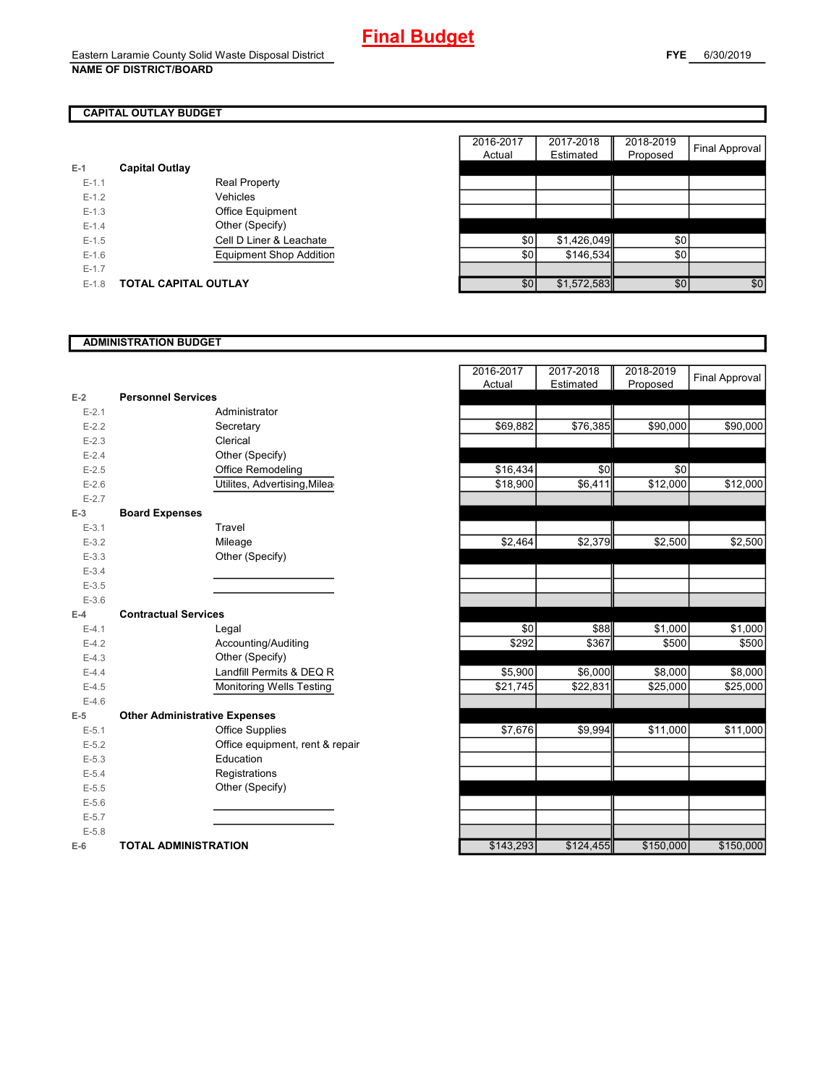## **CAPITAL OUTLAY BUDGET**

|           |                                | $1$ total | <b>Lutriutu</b> | , , opoooa |
|-----------|--------------------------------|-----------|-----------------|------------|
| $E-1$     | <b>Capital Outlay</b>          |           |                 |            |
| $E - 1.1$ | <b>Real Property</b>           |           |                 |            |
| $E-1.2$   | Vehicles                       |           |                 |            |
| $E-1.3$   | Office Equipment               |           |                 |            |
| $E - 1.4$ | Other (Specify)                |           |                 |            |
| $E-1.5$   | Cell D Liner & Leachate        | \$0       | \$1,426,049     | \$0        |
| $E-1.6$   | <b>Equipment Shop Addition</b> | \$0       | \$146.534       | \$0        |
| $E-1.7$   |                                |           |                 |            |
| $E-1.8$   | <b>TOTAL CAPITAL OUTLAY</b>    | \$0       | \$1,572,583     | \$0        |

|         |                             |                                | 2016-2017 | 2017-2018   | 2018-2019 |                       |
|---------|-----------------------------|--------------------------------|-----------|-------------|-----------|-----------------------|
|         |                             |                                | Actual    | Estimated   | Proposed  | <b>Final Approval</b> |
|         | <b>Capital Outlay</b>       |                                |           |             |           |                       |
| $E-1.1$ |                             | <b>Real Property</b>           |           |             |           |                       |
| $E-1.2$ |                             | Vehicles                       |           |             |           |                       |
| $E-1.3$ |                             | Office Equipment               |           |             |           |                       |
| $E-1.4$ |                             | Other (Specify)                |           |             |           |                       |
| $E-1.5$ |                             | Cell D Liner & Leachate        | \$0       | \$1,426,049 | \$0       |                       |
| $E-1.6$ |                             | <b>Equipment Shop Addition</b> | \$0       | \$146,534   | \$0       |                       |
| $E-1.7$ |                             |                                |           |             |           |                       |
| $E-1.8$ | <b>TOTAL CAPITAL OUTLAY</b> |                                | \$0       | \$1,572,583 | \$0       | \$0                   |
|         |                             |                                |           |             |           |                       |

## **ADMINISTRATION BUDGET**

|           |                                      |                                 | , www             | <b>L</b> ournatou | <b>TRANSPORT</b> |
|-----------|--------------------------------------|---------------------------------|-------------------|-------------------|------------------|
| $E-2$     | <b>Personnel Services</b>            |                                 |                   |                   |                  |
| $E - 2.1$ |                                      | Administrator                   |                   |                   |                  |
| $E-2.2$   |                                      | Secretary                       | \$69,882          | \$76,385          | \$90,000         |
| $E-2.3$   |                                      | Clerical                        |                   |                   |                  |
| $E-2.4$   |                                      | Other (Specify)                 |                   |                   |                  |
| $E-2.5$   |                                      | Office Remodeling               | \$16,434          | \$0               | \$0              |
| $E-2.6$   |                                      | Utilites, Advertising, Milea    | \$18,900          | \$6,411           | \$12,000         |
| $E - 2.7$ |                                      |                                 |                   |                   |                  |
| $E-3$     | <b>Board Expenses</b>                |                                 |                   |                   |                  |
| $E - 3.1$ |                                      | Travel                          |                   |                   |                  |
| $E - 3.2$ |                                      | Mileage                         | \$2,464           | \$2,379           | \$2,500          |
| $E - 3.3$ |                                      | Other (Specify)                 |                   |                   |                  |
| $E - 3.4$ |                                      |                                 |                   |                   |                  |
| $E - 3.5$ |                                      |                                 |                   |                   |                  |
| $E - 3.6$ |                                      |                                 |                   |                   |                  |
| $E-4$     | <b>Contractual Services</b>          |                                 |                   |                   |                  |
| $E - 4.1$ |                                      | Legal                           | \$0               | \$88              | \$1,000          |
| $E-4.2$   |                                      | Accounting/Auditing             | $\overline{$}292$ | \$367             | \$500            |
| $E-4.3$   |                                      | Other (Specify)                 |                   |                   |                  |
| $E-4.4$   |                                      | Landfill Permits & DEQ R        | \$5,900           | \$6,000           | \$8,000          |
| $E-4.5$   |                                      | <b>Monitoring Wells Testing</b> | \$21,745          | \$22,831          | \$25,000         |
| $E-4.6$   |                                      |                                 |                   |                   |                  |
| $E-5$     | <b>Other Administrative Expenses</b> |                                 |                   |                   |                  |
| $E - 5.1$ |                                      | Office Supplies                 | \$7,676           | \$9,994           | \$11,000         |
| $E - 5.2$ |                                      | Office equipment, rent & repair |                   |                   |                  |
| $E-5.3$   |                                      | Education                       |                   |                   |                  |
| $E - 5.4$ |                                      | Registrations                   |                   |                   |                  |
| $E - 5.5$ |                                      | Other (Specify)                 |                   |                   |                  |
| $E-5.6$   |                                      |                                 |                   |                   |                  |
| $E - 5.7$ |                                      |                                 |                   |                   |                  |
| $E - 5.8$ |                                      |                                 |                   |                   |                  |
| $E-6$     | <b>TOTAL ADMINISTRATION</b>          |                                 | \$143,293         | \$124,455         | \$150,000        |

|           |                                      | 2016-2017 | 2017-2018 | 2018-2019 | <b>Final Approval</b> |
|-----------|--------------------------------------|-----------|-----------|-----------|-----------------------|
|           |                                      | Actual    | Estimated | Proposed  |                       |
| $E-2$     | <b>Personnel Services</b>            |           |           |           |                       |
| $E - 2.1$ | Administrator                        |           |           |           |                       |
| $E - 2.2$ | Secretary                            | \$69,882  | \$76,385  | \$90,000  | \$90,000              |
| $E - 2.3$ | Clerical                             |           |           |           |                       |
| $E - 2.4$ | Other (Specify)                      |           |           |           |                       |
| $E - 2.5$ | Office Remodeling                    | \$16,434  | \$0       | \$0       |                       |
| $E-2.6$   | Utilites, Advertising, Milea         | \$18,900  | \$6,411   | \$12,000  | \$12,000              |
| $E - 2.7$ |                                      |           |           |           |                       |
| $E-3$     | <b>Board Expenses</b>                |           |           |           |                       |
| $E - 3.1$ | Travel                               |           |           |           |                       |
| $E - 3.2$ | Mileage                              | \$2,464   | \$2,379   | \$2,500   | \$2,500               |
| $E - 3.3$ | Other (Specify)                      |           |           |           |                       |
| $E - 3.4$ |                                      |           |           |           |                       |
| $E - 3.5$ |                                      |           |           |           |                       |
| $E - 3.6$ |                                      |           |           |           |                       |
| $E-4$     | <b>Contractual Services</b>          |           |           |           |                       |
| $E-4.1$   | Legal                                | \$0       | \$88      | \$1,000   | \$1,000               |
| $E - 4.2$ | Accounting/Auditing                  | \$292     | \$367     | \$500     | \$500                 |
| $E-4.3$   | Other (Specify)                      |           |           |           |                       |
| $E - 4.4$ | Landfill Permits & DEQ R             | \$5,900   | \$6,000   | \$8,000   | \$8,000               |
| $E-4.5$   | <b>Monitoring Wells Testing</b>      | \$21,745  | \$22,831  | \$25,000  | \$25,000              |
| $E-4.6$   |                                      |           |           |           |                       |
| $E-5$     | <b>Other Administrative Expenses</b> |           |           |           |                       |
| $E-5.1$   | <b>Office Supplies</b>               | \$7,676   | \$9,994   | \$11,000  | \$11,000              |
| $E - 5.2$ | Office equipment, rent & repair      |           |           |           |                       |
| $E - 5.3$ | Education                            |           |           |           |                       |
| $E-5.4$   | Registrations                        |           |           |           |                       |
| $E - 5.5$ | Other (Specify)                      |           |           |           |                       |
| $E - 5.6$ |                                      |           |           |           |                       |
| $E - 5.7$ |                                      |           |           |           |                       |
| $E - 5.8$ |                                      |           |           |           |                       |
| $E-6$     | <b>TOTAL ADMINISTRATION</b>          | \$143,293 | \$124,455 | \$150,000 | \$150,000             |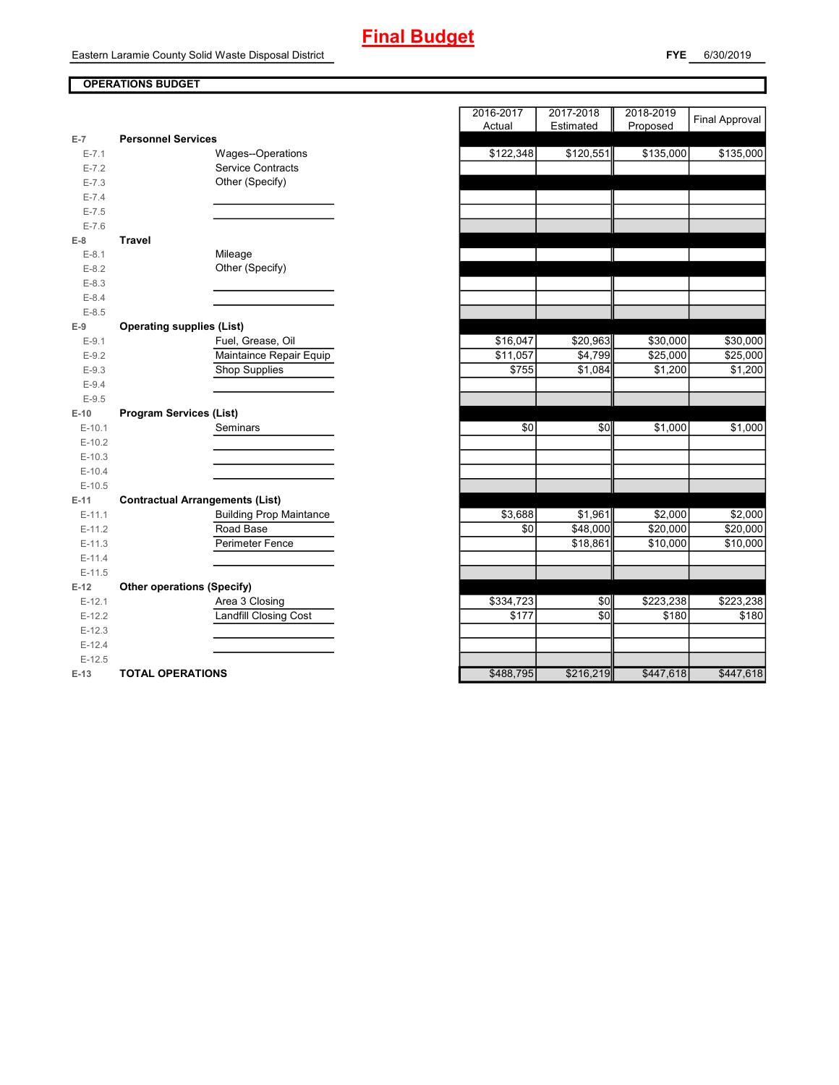# **Final Budget**

Eastern Laramie County Solid Waste Disposal District

T

## **OPERATIONS BUDGET**

| $E-7$     | <b>Personnel Services</b>              |                                             |
|-----------|----------------------------------------|---------------------------------------------|
| $E - 7.1$ |                                        | <b>Wages--Operations</b>                    |
| $E - 7.2$ |                                        | <b>Service Contracts</b>                    |
| $E - 7.3$ |                                        | Other (Specify)                             |
| $E - 7.4$ |                                        |                                             |
| $E - 7.5$ |                                        |                                             |
| $E - 7.6$ |                                        |                                             |
| $E-8$     | Travel                                 |                                             |
| $E-8.1$   |                                        | Mileage                                     |
| $E-8.2$   |                                        | Other (Specify)                             |
| $E-8.3$   |                                        |                                             |
| $E - 8.4$ |                                        |                                             |
| $E - 8.5$ |                                        |                                             |
| $E-9$     | <b>Operating supplies (List)</b>       |                                             |
| $E-9.1$   |                                        | Fuel, Grease, Oil                           |
| $E-9.2$   |                                        | Maintaince Repair Equip                     |
| $E-9.3$   |                                        | Shop Supplies                               |
| $E-9.4$   |                                        |                                             |
| $E-9.5$   |                                        |                                             |
| $E-10$    | <b>Program Services (List)</b>         |                                             |
|           |                                        |                                             |
| $E-10.1$  |                                        | Seminars                                    |
| $E-10.2$  |                                        |                                             |
| $E-10.3$  |                                        |                                             |
| $E-10.4$  |                                        |                                             |
| $E-10.5$  |                                        |                                             |
| $E-11$    |                                        |                                             |
| $E-11.1$  | <b>Contractual Arrangements (List)</b> |                                             |
| $E-11.2$  |                                        | <b>Building Prop Maintance</b><br>Road Base |
| $E-11.3$  |                                        | <b>Perimeter Fence</b>                      |
| $E-11.4$  |                                        |                                             |
| $E-11.5$  |                                        |                                             |
| $E-12$    | <b>Other operations (Specify)</b>      |                                             |
| $E-12.1$  |                                        | Area 3 Closing                              |
| $E-12.2$  |                                        | <b>Landfill Closing Cost</b>                |
| $E-12.3$  |                                        |                                             |
| $E-12.4$  |                                        |                                             |
| $E-12.5$  |                                        |                                             |

|                    |                                        | 2016-2017 | 2017-2018 | 2018-2019 | <b>Final Approval</b> |
|--------------------|----------------------------------------|-----------|-----------|-----------|-----------------------|
|                    |                                        | Actual    | Estimated | Proposed  |                       |
| $E-7$              | <b>Personnel Services</b>              |           |           |           |                       |
| $E - 7.1$          | Wages--Operations                      | \$122,348 | \$120,551 | \$135,000 | \$135,000             |
| $E - 7.2$          | <b>Service Contracts</b>               |           |           |           |                       |
| $E - 7.3$          | Other (Specify)                        |           |           |           |                       |
| $E - 7.4$          |                                        |           |           |           |                       |
| $E - 7.5$          |                                        |           |           |           |                       |
| $E - 7.6$<br>$E-8$ | <b>Travel</b>                          |           |           |           |                       |
| $E-8.1$            | Mileage                                |           |           |           |                       |
| $E-8.2$            | Other (Specify)                        |           |           |           |                       |
| $E - 8.3$          |                                        |           |           |           |                       |
| $E - 8.4$          |                                        |           |           |           |                       |
| $E - 8.5$          |                                        |           |           |           |                       |
| E-9                | <b>Operating supplies (List)</b>       |           |           |           |                       |
| $E - 9.1$          | Fuel, Grease, Oil                      | \$16,047  | \$20,963  | \$30,000  | \$30,000              |
| $E-9.2$            | Maintaince Repair Equip                | \$11,057  | \$4,799   | \$25,000  | \$25,000              |
| $E-9.3$            | <b>Shop Supplies</b>                   | \$755     | \$1,084   | \$1,200   | \$1,200               |
| $E - 9.4$          |                                        |           |           |           |                       |
| $E - 9.5$          |                                        |           |           |           |                       |
| $E-10$             | <b>Program Services (List)</b>         |           |           |           |                       |
| $E-10.1$           | Seminars                               | \$0       | \$0       | \$1,000   | \$1,000               |
| $E-10.2$           |                                        |           |           |           |                       |
| $E-10.3$           |                                        |           |           |           |                       |
| $E-10.4$           |                                        |           |           |           |                       |
| $E-10.5$           |                                        |           |           |           |                       |
| $E-11$             | <b>Contractual Arrangements (List)</b> |           |           |           |                       |
| $E-11.1$           | <b>Building Prop Maintance</b>         | \$3,688   | \$1,961   | \$2,000   | \$2,000               |
| $E-11.2$           | Road Base                              | \$0       | \$48,000  | \$20,000  | \$20,000              |
| $E-11.3$           | Perimeter Fence                        |           | \$18,861  | \$10,000  | \$10,000              |
| $E-11.4$           |                                        |           |           |           |                       |
| $E-11.5$           |                                        |           |           |           |                       |
| $E-12$             | <b>Other operations (Specify)</b>      |           |           |           |                       |
| $E-12.1$           | Area 3 Closing                         | \$334,723 | \$0       | \$223,238 | \$223,238             |
| $E-12.2$           | Landfill Closing Cost                  | \$177     | \$0       | \$180     | \$180                 |
| $E-12.3$           |                                        |           |           |           |                       |
| $E-12.4$           |                                        |           |           |           |                       |
| $E-12.5$           |                                        |           |           |           |                       |
| E-13               | <b>TOTAL OPERATIONS</b>                | \$488,795 | \$216,219 | \$447,618 | \$447,618             |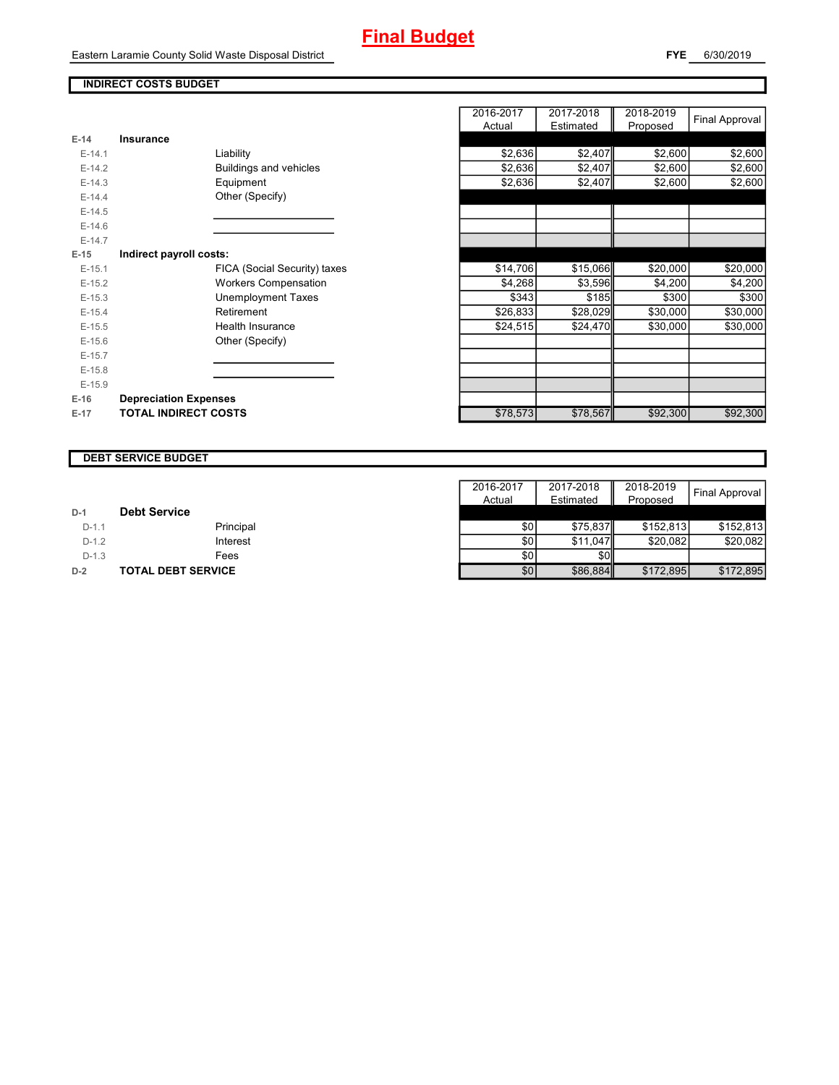# **Final Budget**

Eastern Laramie County Solid Waste Disposal District

**FYE** 6/30/2019

┱

### **INDIRECT COSTS BUDGET**

| E-14     | Insurance                     |
|----------|-------------------------------|
| $F-14.1$ | Liability                     |
| $F-142$  | <b>Buildings and vehicles</b> |
| $F-14.3$ | Equipment                     |
| $F-144$  | Other (Specify)               |
| $E-14.5$ |                               |
| $F-146$  |                               |
| $F-147$  |                               |
| E-15     | Indirect payroll costs:       |
| $E-15.1$ | FICA (Social Security) taxes  |
| $E-15.2$ | <b>Workers Compensation</b>   |
| $E-15.3$ | <b>Unemployment Taxes</b>     |
| $E-15.4$ | Retirement                    |
| $E-15.5$ | Health Insurance              |
| $E-15.6$ | Other (Specify)               |
| $E-15.7$ |                               |
| $E-15.8$ |                               |
| $E-15.9$ |                               |
| $E-16$   | <b>Depreciation Expenses</b>  |
| $E-17$   | <b>TOTAL INDIRECT COSTS</b>   |

|          |                              |                              | 2016-2017 | 2017-2018 | 2018-2019 |                |
|----------|------------------------------|------------------------------|-----------|-----------|-----------|----------------|
|          |                              |                              | Actual    | Estimated | Proposed  | Final Approval |
| $E-14$   | Insurance                    |                              |           |           |           |                |
| $E-14.1$ | Liability                    |                              | \$2,636   | \$2,407   | \$2,600   | \$2,600        |
| $E-14.2$ |                              | Buildings and vehicles       | \$2,636   | \$2,407   | \$2,600   | \$2,600        |
| $E-14.3$ | Equipment                    |                              | \$2,636   | \$2,407   | \$2,600   | \$2,600        |
| $E-14.4$ | Other (Specify)              |                              |           |           |           |                |
| $E-14.5$ |                              |                              |           |           |           |                |
| $E-14.6$ |                              |                              |           |           |           |                |
| $E-14.7$ |                              |                              |           |           |           |                |
| $E-15$   | Indirect payroll costs:      |                              |           |           |           |                |
| $E-15.1$ |                              | FICA (Social Security) taxes | \$14,706  | \$15,066  | \$20,000  | \$20,000       |
| $E-15.2$ |                              | <b>Workers Compensation</b>  | \$4,268   | \$3,596   | \$4,200   | \$4,200        |
| $E-15.3$ |                              | Unemployment Taxes           | \$343     | \$185     | \$300     | \$300          |
| $E-15.4$ | Retirement                   |                              | \$26,833  | \$28,029  | \$30,000  | \$30,000       |
| $E-15.5$ |                              | <b>Health Insurance</b>      | \$24,515  | \$24,470  | \$30,000  | \$30,000       |
| $E-15.6$ | Other (Specify)              |                              |           |           |           |                |
| $E-15.7$ |                              |                              |           |           |           |                |
| $E-15.8$ |                              |                              |           |           |           |                |
| $E-15.9$ |                              |                              |           |           |           |                |
| $E-16$   | <b>Depreciation Expenses</b> |                              |           |           |           |                |
| $E-17$   | <b>TOTAL INDIRECT COSTS</b>  |                              | \$78,573  | \$78,567  | \$92,300  | \$92,300       |
|          |                              |                              |           |           |           |                |

### **DEBT SERVICE BUDGET**

|         |                           | 2016-2017 | 2017-2018 | 2018-2019 | <b>Final Approval</b> |
|---------|---------------------------|-----------|-----------|-----------|-----------------------|
|         |                           | Actual    | Estimated | Proposed  |                       |
| $D-1$   | <b>Debt Service</b>       |           |           |           |                       |
| $D-1.1$ | Principal                 | \$٥١      | \$75.837  | \$152.813 | \$152,813             |
| $D-1.2$ | Interest                  | \$0       | \$11.047  | \$20.082  | \$20.082              |
| $D-1.3$ | Fees                      | \$0       | <b>SO</b> |           |                       |
| $D-2$   | <b>TOTAL DEBT SERVICE</b> | \$0       | \$86,884  | \$172,895 | \$172,895             |